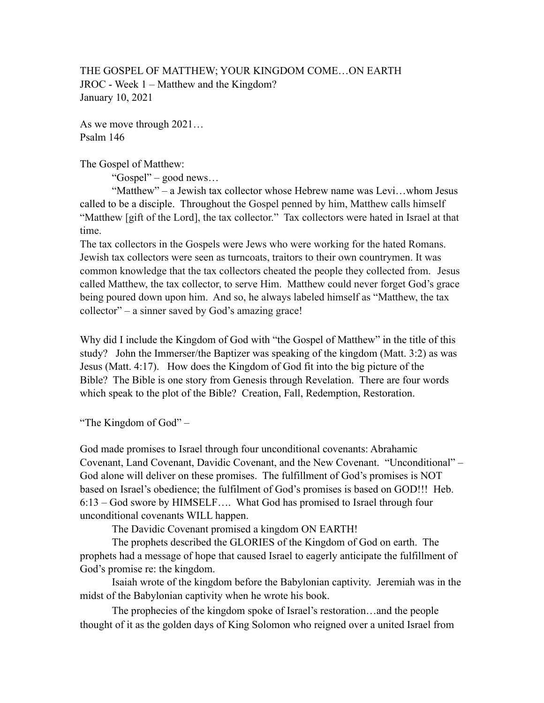THE GOSPEL OF MATTHEW; YOUR KINGDOM COME…ON EARTH JROC - Week 1 – Matthew and the Kingdom? January 10, 2021

As we move through 2021… Psalm 146

The Gospel of Matthew:

"Gospel" – good news…

 "Matthew" – a Jewish tax collector whose Hebrew name was Levi…whom Jesus called to be a disciple. Throughout the Gospel penned by him, Matthew calls himself "Matthew [gift of the Lord], the tax collector." Tax collectors were hated in Israel at that time.

The tax collectors in the Gospels were Jews who were working for the hated Romans. Jewish tax collectors were seen as turncoats, traitors to their own countrymen. It was common knowledge that the tax collectors cheated the people they collected from. Jesus called Matthew, the tax collector, to serve Him. Matthew could never forget God's grace being poured down upon him. And so, he always labeled himself as "Matthew, the tax collector" – a sinner saved by God's amazing grace!

Why did I include the Kingdom of God with "the Gospel of Matthew" in the title of this study? John the Immerser/the Baptizer was speaking of the kingdom (Matt. 3:2) as was Jesus (Matt. 4:17). How does the Kingdom of God fit into the big picture of the Bible? The Bible is one story from Genesis through Revelation. There are four words which speak to the plot of the Bible? Creation, Fall, Redemption, Restoration.

"The Kingdom of God" –

God made promises to Israel through four unconditional covenants: Abrahamic Covenant, Land Covenant, Davidic Covenant, and the New Covenant. "Unconditional" – God alone will deliver on these promises. The fulfillment of God's promises is NOT based on Israel's obedience; the fulfilment of God's promises is based on GOD!!! Heb. 6:13 – God swore by HIMSELF…. What God has promised to Israel through four unconditional covenants WILL happen.

The Davidic Covenant promised a kingdom ON EARTH!

 The prophets described the GLORIES of the Kingdom of God on earth. The prophets had a message of hope that caused Israel to eagerly anticipate the fulfillment of God's promise re: the kingdom.

 Isaiah wrote of the kingdom before the Babylonian captivity. Jeremiah was in the midst of the Babylonian captivity when he wrote his book.

The prophecies of the kingdom spoke of Israel's restoration…and the people thought of it as the golden days of King Solomon who reigned over a united Israel from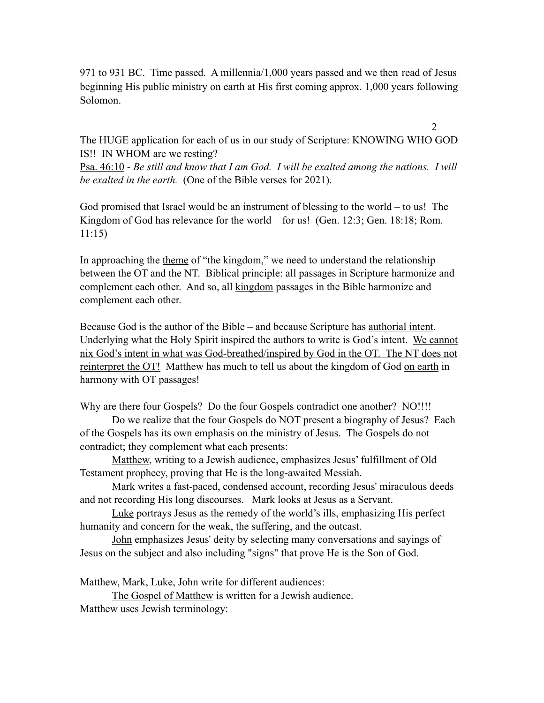971 to 931 BC. Time passed. A millennia/1,000 years passed and we then read of Jesus beginning His public ministry on earth at His first coming approx. 1,000 years following Solomon.

The HUGE application for each of us in our study of Scripture: KNOWING WHO GOD IS!! IN WHOM are we resting?

2

Psa. 46:10 - *Be still and know that I am God. I will be exalted among the nations. I will be exalted in the earth.* (One of the Bible verses for 2021).

God promised that Israel would be an instrument of blessing to the world – to us! The Kingdom of God has relevance for the world – for us! (Gen. 12:3; Gen. 18:18; Rom. 11:15)

In approaching the theme of "the kingdom," we need to understand the relationship between the OT and the NT. Biblical principle: all passages in Scripture harmonize and complement each other. And so, all kingdom passages in the Bible harmonize and complement each other.

Because God is the author of the Bible – and because Scripture has authorial intent. Underlying what the Holy Spirit inspired the authors to write is God's intent. We cannot nix God's intent in what was God-breathed/inspired by God in the OT. The NT does not reinterpret the OT! Matthew has much to tell us about the kingdom of God on earth in harmony with OT passages!

Why are there four Gospels? Do the four Gospels contradict one another? NO!!!!

 Do we realize that the four Gospels do NOT present a biography of Jesus? Each of the Gospels has its own emphasis on the ministry of Jesus. The Gospels do not contradict; they complement what each presents:

Matthew, writing to a Jewish audience, emphasizes Jesus' fulfillment of Old Testament prophecy, proving that He is the long-awaited Messiah.

Mark writes a fast-paced, condensed account, recording Jesus' miraculous deeds and not recording His long discourses. Mark looks at Jesus as a Servant.

Luke portrays Jesus as the remedy of the world's ills, emphasizing His perfect humanity and concern for the weak, the suffering, and the outcast.

John emphasizes Jesus' deity by selecting many conversations and sayings of Jesus on the subject and also including "signs" that prove He is the Son of God.

Matthew, Mark, Luke, John write for different audiences:

The Gospel of Matthew is written for a Jewish audience. Matthew uses Jewish terminology: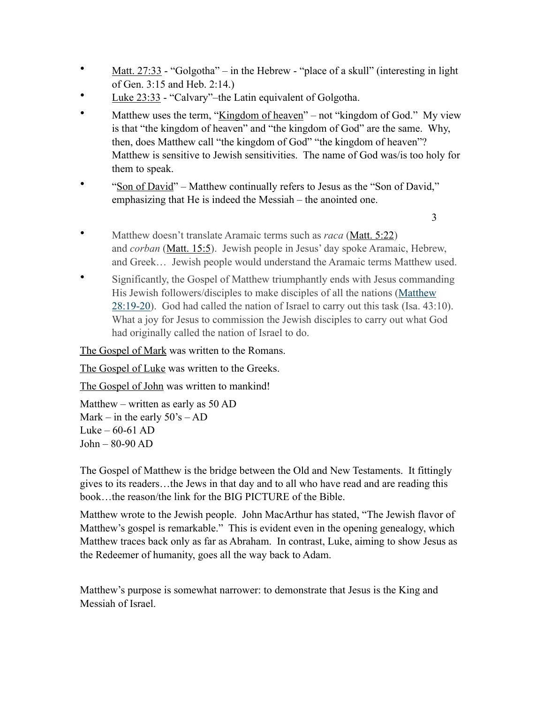- <u>Matt. 27:33</u> "Golgotha" in the Hebrew "place of a skull" (interesting in light of Gen. 3:15 and Heb. 2:14.)
- Luke 23:33 "Calvary"–the Latin equivalent of Golgotha.
- Matthew uses the term, "Kingdom of heaven" not "kingdom of God." My view is that "the kingdom of heaven" and "the kingdom of God" are the same. Why, then, does Matthew call "the kingdom of God" "the kingdom of heaven"? Matthew is sensitive to Jewish sensitivities. The name of God was/is too holy for them to speak.
- "Son of David" Matthew continually refers to Jesus as the "Son of David," emphasizing that He is indeed the Messiah – the anointed one.

3

- Matthew doesn't translate Aramaic terms such as *raca* ([Matt. 5:22\)](https://www.blueletterbible.org/search/preSearch.cfm?Criteria=Matthew+5.22&t=NKJV) and *corban* [\(Matt. 15:5](https://www.blueletterbible.org/search/preSearch.cfm?Criteria=Matthew+15.5&t=NKJV)). Jewish people in Jesus' day spoke Aramaic, Hebrew, and Greek… Jewish people would understand the Aramaic terms Matthew used.
- Significantly, the Gospel of Matthew triumphantly ends with Jesus commanding His Jewish followers/disciples to make disciples of all the nations (Matthew [28:19-20](https://www.blueletterbible.org/search/preSearch.cfm?Criteria=Matthew+28.19-20&t=NKJV)). God had called the nation of Israel to carry out this task (Isa. 43:10). What a joy for Jesus to commission the Jewish disciples to carry out what God had originally called the nation of Israel to do.

The Gospel of Mark was written to the Romans.

The Gospel of Luke was written to the Greeks.

The Gospel of John was written to mankind!

Matthew – written as early as 50 AD Mark – in the early  $50\text{'s} - AD$ Luke –  $60-61$  AD John – 80-90 AD

The Gospel of Matthew is the bridge between the Old and New Testaments. It fittingly gives to its readers…the Jews in that day and to all who have read and are reading this book…the reason/the link for the BIG PICTURE of the Bible.

Matthew wrote to the Jewish people. John MacArthur has stated, "The Jewish flavor of Matthew's gospel is remarkable." This is evident even in the opening genealogy, which Matthew traces back only as far as Abraham. In contrast, Luke, aiming to show Jesus as the Redeemer of humanity, goes all the way back to Adam.

Matthew's purpose is somewhat narrower: to demonstrate that Jesus is the King and Messiah of Israel.